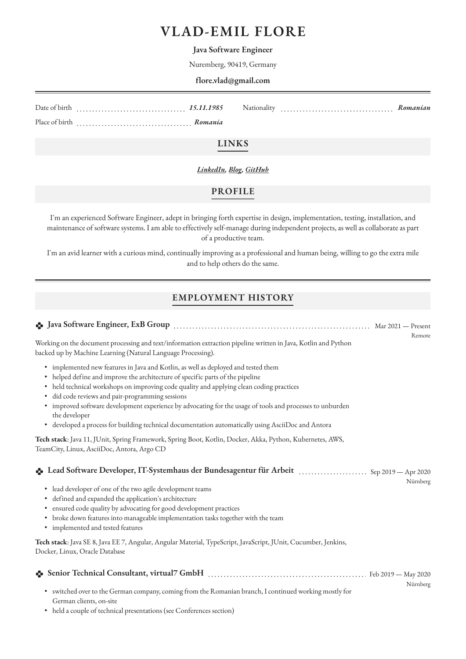# **VLAD-EMIL FLORE**

#### **Java Software Engineer**

Nuremberg, 90419, Germany

#### **flore.vlad@gmail.com**

Date of birth *15.11.1985* Place of birth *Romania* Nationality *Romanian*

### **LINKS**

#### *[LinkedIn,](https://www.linkedin.com/in/vlad-flore-a709723b/) [Blog](https://vladflore.tech), [GitHub](https://github.com/vladflore)*

#### **PROFILE**

I'm an experienced Software Engineer, adept in bringing forth expertise in design, implementation, testing, installation, and maintenance of software systems. I am able to effectively self-manage during independent projects, as well as collaborate as part of a productive team.

I'm an avid learner with a curious mind, continually improving as a professional and human being, willing to go the extra mile and to help others do the same.

### **EMPLOYMENT HISTORY**

|                                                                                                                                                                                                                                                                                                                                                                                                                                                                                                                                                          | Remote   |
|----------------------------------------------------------------------------------------------------------------------------------------------------------------------------------------------------------------------------------------------------------------------------------------------------------------------------------------------------------------------------------------------------------------------------------------------------------------------------------------------------------------------------------------------------------|----------|
| Working on the document processing and text/information extraction pipeline written in Java, Kotlin and Python<br>backed up by Machine Learning (Natural Language Processing).                                                                                                                                                                                                                                                                                                                                                                           |          |
| · implemented new features in Java and Kotlin, as well as deployed and tested them<br>• helped define and improve the architecture of specific parts of the pipeline<br>• held technical workshops on improving code quality and applying clean coding practices<br>· did code reviews and pair-programming sessions<br>• improved software development experience by advocating for the usage of tools and processes to unburden<br>the developer<br>• developed a process for building technical documentation automatically using AsciiDoc and Antora |          |
| Tech stack: Java 11, JUnit, Spring Framework, Spring Boot, Kotlin, Docker, Akka, Python, Kubernetes, AWS,<br>TeamCity, Linux, AsciiDoc, Antora, Argo CD                                                                                                                                                                                                                                                                                                                                                                                                  |          |
| Lead Software Developer, IT-Systemhaus der Bundesagentur für Arbeit  Sep 2019 - Apr 2020<br>lead developer of one of the two agile development teams<br>٠<br>• defined and expanded the application's architecture<br>· ensured code quality by advocating for good development practices                                                                                                                                                                                                                                                                | Nürnberg |
| • broke down features into manageable implementation tasks together with the team<br>· implemented and tested features                                                                                                                                                                                                                                                                                                                                                                                                                                   |          |
| Tech stack: Java SE 8, Java EE 7, Angular, Angular Material, TypeScript, JavaScript, JUnit, Cucumber, Jenkins,<br>Docker, Linux, Oracle Database                                                                                                                                                                                                                                                                                                                                                                                                         |          |
|                                                                                                                                                                                                                                                                                                                                                                                                                                                                                                                                                          |          |
| · switched over to the German company, coming from the Romanian branch, I continued working mostly for<br>German clients, on-site<br>• held a couple of technical presentations (see Conferences section)                                                                                                                                                                                                                                                                                                                                                | Nürnberg |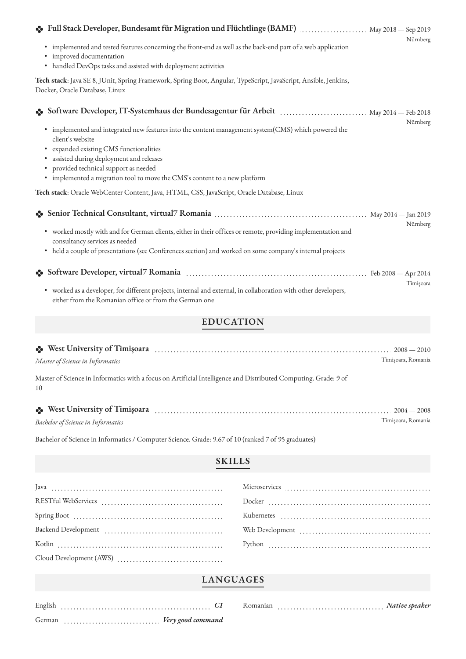| • Full Stack Developer, Bundesamt für Migration und Flüchtlinge (BAMF)  May 2018 - Sep 2019                                                                                                                           | Nürnberg  |  |  |
|-----------------------------------------------------------------------------------------------------------------------------------------------------------------------------------------------------------------------|-----------|--|--|
| implemented and tested features concerning the front-end as well as the back-end part of a web application<br>$\bullet$<br>· improved documentation<br>• handled DevOps tasks and assisted with deployment activities |           |  |  |
| Tech stack: Java SE 8, JUnit, Spring Framework, Spring Boot, Angular, TypeScript, JavaScript, Ansible, Jenkins,<br>Docker, Oracle Database, Linux                                                                     |           |  |  |
| Software Developer, IT-Systemhaus der Bundesagentur für Arbeit  May 2014 - Feb 2018                                                                                                                                   | Nürnberg  |  |  |
| • implemented and integrated new features into the content management system(CMS) which powered the<br>client's website                                                                                               |           |  |  |
| · expanded existing CMS functionalities<br>· assisted during deployment and releases                                                                                                                                  |           |  |  |
| · provided technical support as needed                                                                                                                                                                                |           |  |  |
| • implemented a migration tool to move the CMS's content to a new platform                                                                                                                                            |           |  |  |
| Tech stack: Oracle WebCenter Content, Java, HTML, CSS, JavaScript, Oracle Database, Linux                                                                                                                             |           |  |  |
|                                                                                                                                                                                                                       | Nürnberg  |  |  |
| • worked mostly with and for German clients, either in their offices or remote, providing implementation and<br>consultancy services as needed                                                                        |           |  |  |
| • held a couple of presentations (see Conferences section) and worked on some company's internal projects                                                                                                             |           |  |  |
|                                                                                                                                                                                                                       |           |  |  |
| • worked as a developer, for different projects, internal and external, in collaboration with other developers,<br>either from the Romanian office or from the German one                                             | Timişoara |  |  |

# **EDUCATION**

| Some West University of Timișoara (1990) West University of Timișoara (1990) West University of Timișoara (1990) West (1990) West University of Timișoara (1990) West (1990) West (1990) West (1990) West (1990) West (1990) W<br>Master of Science in Informatics |  | $2008 - 2010$<br>Timișoara, Romania |
|--------------------------------------------------------------------------------------------------------------------------------------------------------------------------------------------------------------------------------------------------------------------|--|-------------------------------------|
| Master of Science in Informatics with a focus on Artificial Intelligence and Distributed Computing. Grade: 9 of<br>10                                                                                                                                              |  |                                     |

| •• West University of Timișoara    |                    |
|------------------------------------|--------------------|
| Bachelor of Science in Informatics | Timisoara, Romania |

Bachelor of Science in Informatics / Computer Science. Grade: 9.67 of 10 (ranked 7 of 95 graduates)

# **SKILLS**

# **LANGUAGES**

| German | Very good command |  |  |  |  |  |  |  |  |  |  |  |  |  |  |  |  |
|--------|-------------------|--|--|--|--|--|--|--|--|--|--|--|--|--|--|--|--|

Romanian *Native speaker*